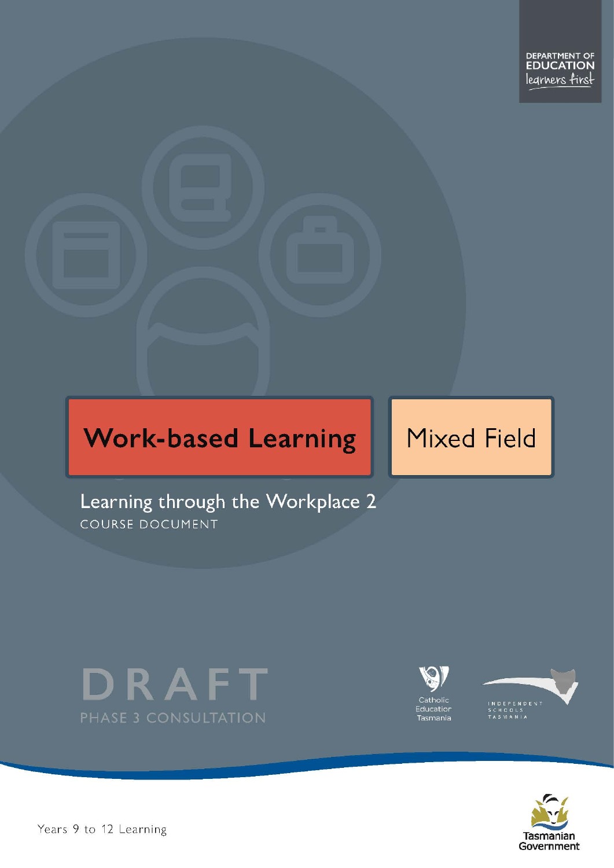# **Work-based Learning**

# **Mixed Field**

Learning through the Workplace 2 COURSE DOCUMENT







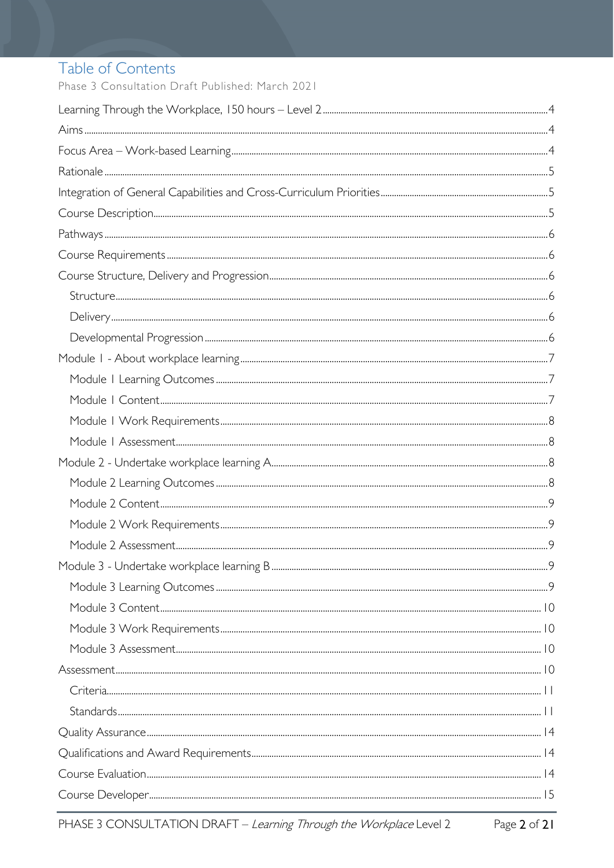# Table of Contents

Phase 3 Consultation Draft Published: March 2021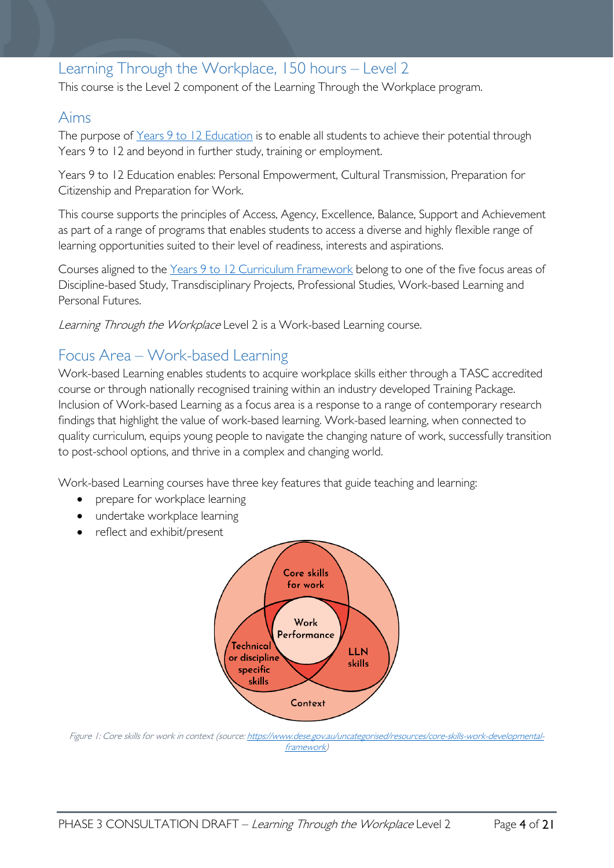# <span id="page-3-0"></span>Learning Through the Workplace, 150 hours – Level 2

This course is the Level 2 component of the Learning Through the Workplace program.

### <span id="page-3-1"></span>Aims

The purpose of Years 9 to 12 [Education](https://publicdocumentcentre.education.tas.gov.au/library/Shared%20Documents/Years-9-to-12-Education-Framework.pdf) is to enable all students to achieve their potential through Years 9 to 12 and beyond in further study, training or employment.

Years 9 to 12 Education enables: Personal Empowerment, Cultural Transmission, Preparation for Citizenship and Preparation for Work.

This course supports the principles of Access, Agency, Excellence, Balance, Support and Achievement as part of a range of programs that enables students to access a diverse and highly flexible range of learning opportunities suited to their level of readiness, interests and aspirations.

Courses aligned to the Years 9 to 12 Curriculum [Framework](https://publicdocumentcentre.education.tas.gov.au/library/Shared%20Documents/Education%209-12%20Frameworks%20A3%20WEB%20POSTER.pdf) belong to one of the five focus areas of Discipline-based Study, Transdisciplinary Projects, Professional Studies, Work-based Learning and Personal Futures.

Learning Through the Workplace Level 2 is a Work-based Learning course.

# <span id="page-3-2"></span>Focus Area – Work-based Learning

Work-based Learning enables students to acquire workplace skills either through a TASC accredited course or through nationally recognised training within an industry developed Training Package. Inclusion of Work-based Learning as a focus area is a response to a range of contemporary research findings that highlight the value of work-based learning. Work-based learning, when connected to quality curriculum, equips young people to navigate the changing nature of work, successfully transition to post-school options, and thrive in a complex and changing world.

Work-based Learning courses have three key features that guide teaching and learning:

- prepare for workplace learning
- undertake workplace learning
- reflect and exhibit/present



Figure 1: Core skills for work in context (source[: https://www.dese.gov.au/uncategorised/resources/core-skills-work-developmental](https://www.dese.gov.au/uncategorised/resources/core-skills-work-developmental-framework)[framework\)](https://www.dese.gov.au/uncategorised/resources/core-skills-work-developmental-framework)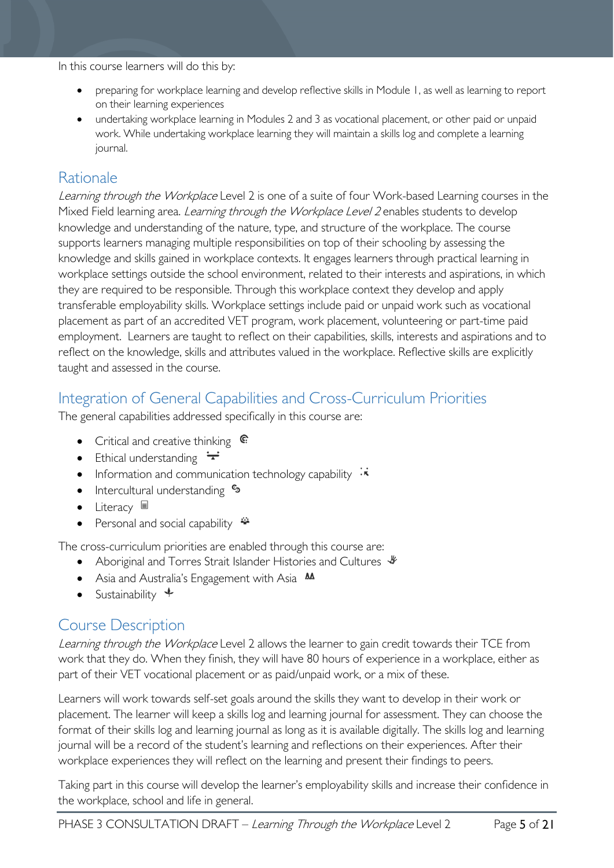In this course learners will do this by:

- preparing for workplace learning and develop reflective skills in Module 1, as well as learning to report on their learning experiences
- undertaking workplace learning in Modules 2 and 3 as vocational placement, or other paid or unpaid work. While undertaking workplace learning they will maintain a skills log and complete a learning journal.

## <span id="page-4-0"></span>Rationale

Learning through the Workplace Level 2 is one of a suite of four Work-based Learning courses in the Mixed Field learning area. *Learning through the Workplace Level 2* enables students to develop knowledge and understanding of the nature, type, and structure of the workplace. The course supports learners managing multiple responsibilities on top of their schooling by assessing the knowledge and skills gained in workplace contexts. It engages learners through practical learning in workplace settings outside the school environment, related to their interests and aspirations, in which they are required to be responsible. Through this workplace context they develop and apply transferable employability skills. Workplace settings include paid or unpaid work such as vocational placement as part of an accredited VET program, work placement, volunteering or part-time paid employment. Learners are taught to reflect on their capabilities, skills, interests and aspirations and to reflect on the knowledge, skills and attributes valued in the workplace. Reflective skills are explicitly taught and assessed in the course.

# <span id="page-4-1"></span>Integration of General Capabilities and Cross-Curriculum Priorities

The general capabilities addressed specifically in this course are:

- Critical and creative thinking  $\mathbb{C}$
- Ethical understanding  $\div$
- Information and communication technology capability  $\cdot \star$
- Intercultural understanding  $\frac{c_3}{ }$
- Literacy  $\blacksquare$
- Personal and social capability

The cross-curriculum priorities are enabled through this course are:

- Aboriginal and Torres Strait Islander Histories and Cultures  $\mathcal$
- Asia and Australia's Engagement with Asia **AA**
- Sustainability  $\triangleleft$

## <span id="page-4-2"></span>Course Description

Learning through the Workplace Level 2 allows the learner to gain credit towards their TCE from work that they do. When they finish, they will have 80 hours of experience in a workplace, either as part of their VET vocational placement or as paid/unpaid work, or a mix of these.

Learners will work towards self-set goals around the skills they want to develop in their work or placement. The learner will keep a skills log and learning journal for assessment. They can choose the format of their skills log and learning journal as long as it is available digitally. The skills log and learning journal will be a record of the student's learning and reflections on their experiences. After their workplace experiences they will reflect on the learning and present their findings to peers.

Taking part in this course will develop the learner's employability skills and increase their confidence in the workplace, school and life in general.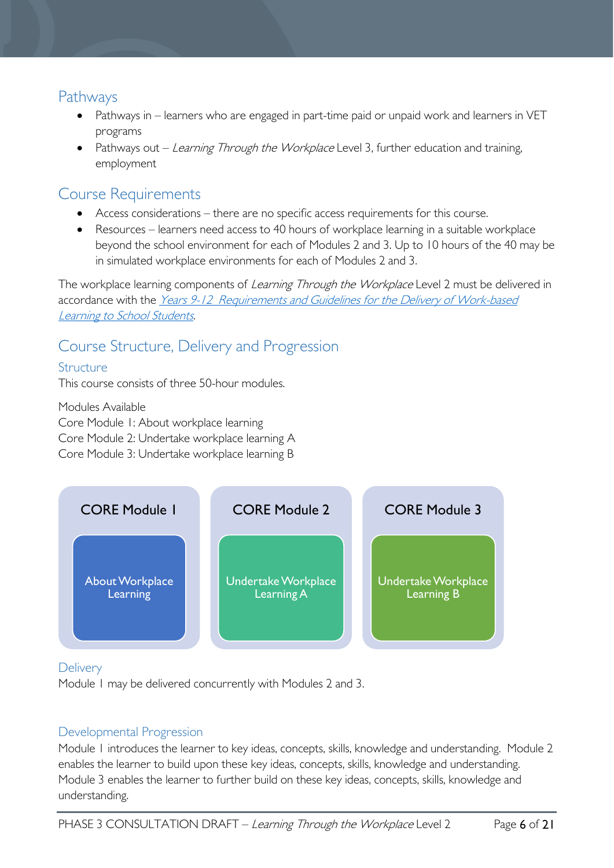### <span id="page-5-0"></span>Pathways

- Pathways in learners who are engaged in part-time paid or unpaid work and learners in VET programs
- Pathways out Learning Through the Workplace Level 3, further education and training, employment

# <span id="page-5-1"></span>Course Requirements

- Access considerations there are no specific access requirements for this course.
- Resources learners need access to 40 hours of workplace learning in a suitable workplace beyond the school environment for each of Modules 2 and 3. Up to 10 hours of the 40 may be in simulated workplace environments for each of Modules 2 and 3.

The workplace learning components of *Learning Through the Workplace* Level 2 must be delivered in accordance with the [Years 9-12 Requirements and Guidelines for the Delivery](https://publicdocumentcentre.education.tas.gov.au/library/Shared%20Documents/Requirements-and-Guidelines-for-Work-based-Learning.pdf) of Work-based [Learning to School Students.](https://publicdocumentcentre.education.tas.gov.au/library/Shared%20Documents/Requirements-and-Guidelines-for-Work-based-Learning.pdf)

# <span id="page-5-2"></span>Course Structure, Delivery and Progression

### <span id="page-5-3"></span>Structure

This course consists of three 50-hour modules.

Modules Available Core Module 1: About workplace learning Core Module 2: Undertake workplace learning A Core Module 3: Undertake workplace learning B



### <span id="page-5-4"></span>**Delivery**

Module 1 may be delivered concurrently with Modules 2 and 3.

### <span id="page-5-5"></span>Developmental Progression

Module 1 introduces the learner to key ideas, concepts, skills, knowledge and understanding. Module 2 enables the learner to build upon these key ideas, concepts, skills, knowledge and understanding. Module 3 enables the learner to further build on these key ideas, concepts, skills, knowledge and understanding.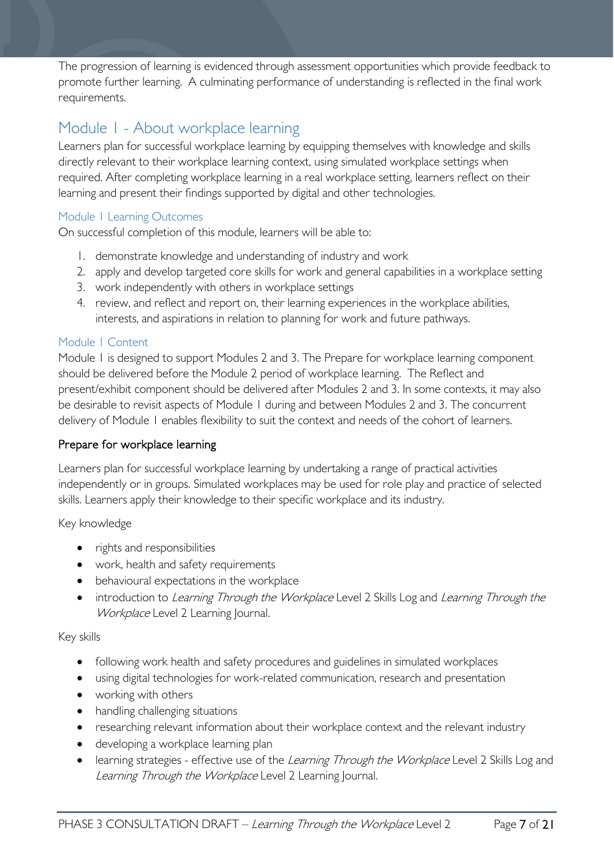The progression of learning is evidenced through assessment opportunities which provide feedback to promote further learning. A culminating performance of understanding is reflected in the final work requirements.

# <span id="page-6-0"></span>Module 1 - About workplace learning

Learners plan for successful workplace learning by equipping themselves with knowledge and skills directly relevant to their workplace learning context, using simulated workplace settings when required. After completing workplace learning in a real workplace setting, learners reflect on their learning and present their findings supported by digital and other technologies.

### <span id="page-6-1"></span>Module 1 Learning Outcomes

On successful completion of this module, learners will be able to:

- 1. demonstrate knowledge and understanding of industry and work
- 2. apply and develop targeted core skills for work and general capabilities in a workplace setting
- 3. work independently with others in workplace settings
- 4. review, and reflect and report on, their learning experiences in the workplace abilities, interests, and aspirations in relation to planning for work and future pathways.

### <span id="page-6-2"></span>Module 1 Content

Module 1 is designed to support Modules 2 and 3. The Prepare for workplace learning component should be delivered before the Module 2 period of workplace learning. The Reflect and present/exhibit component should be delivered after Modules 2 and 3. In some contexts, it may also be desirable to revisit aspects of Module 1 during and between Modules 2 and 3. The concurrent delivery of Module 1 enables flexibility to suit the context and needs of the cohort of learners.

### Prepare for workplace learning

Learners plan for successful workplace learning by undertaking a range of practical activities independently or in groups. Simulated workplaces may be used for role play and practice of selected skills. Learners apply their knowledge to their specific workplace and its industry.

#### Key knowledge

- rights and responsibilities
- work, health and safety requirements
- behavioural expectations in the workplace
- introduction to Learning Through the Workplace Level 2 Skills Log and Learning Through the Workplace Level 2 Learning Journal.

#### Key skills

- following work health and safety procedures and guidelines in simulated workplaces
- using digital technologies for work-related communication, research and presentation
- working with others
- handling challenging situations
- researching relevant information about their workplace context and the relevant industry
- developing a workplace learning plan
- learning strategies effective use of the Learning Through the Workplace Level 2 Skills Log and Learning Through the Workplace Level 2 Learning Journal.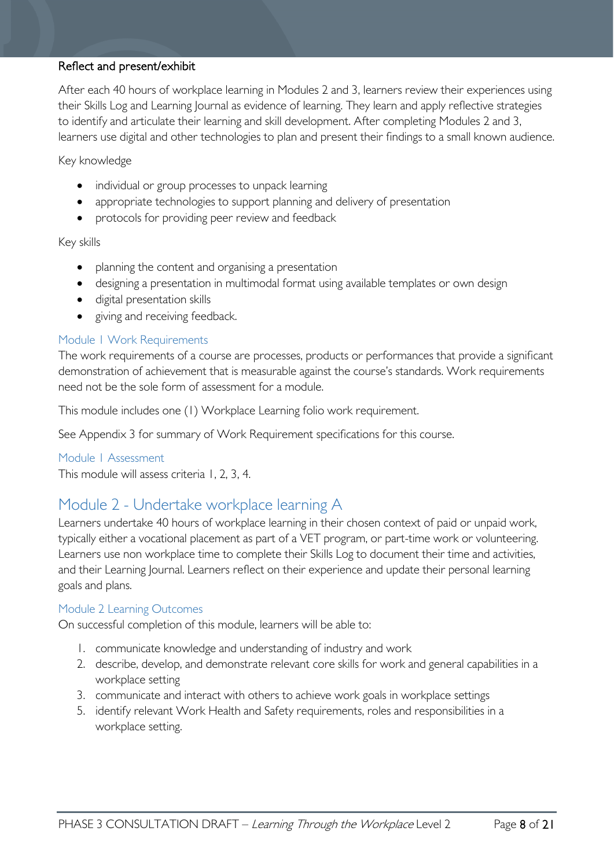#### Reflect and present/exhibit

After each 40 hours of workplace learning in Modules 2 and 3, learners review their experiences using their Skills Log and Learning Journal as evidence of learning. They learn and apply reflective strategies to identify and articulate their learning and skill development. After completing Modules 2 and 3, learners use digital and other technologies to plan and present their findings to a small known audience.

#### Key knowledge

- individual or group processes to unpack learning
- appropriate technologies to support planning and delivery of presentation
- protocols for providing peer review and feedback

#### Key skills

- planning the content and organising a presentation
- designing a presentation in multimodal format using available templates or own design
- digital presentation skills
- giving and receiving feedback.

#### <span id="page-7-0"></span>Module 1 Work Requirements

The work requirements of a course are processes, products or performances that provide a significant demonstration of achievement that is measurable against the course's standards. Work requirements need not be the sole form of assessment for a module.

This module includes one (1) Workplace Learning folio work requirement.

See Appendix 3 for summary of Work Requirement specifications for this course.

#### <span id="page-7-1"></span>Module 1 Assessment

This module will assess criteria 1, 2, 3, 4.

### <span id="page-7-2"></span>Module 2 - Undertake workplace learning A

Learners undertake 40 hours of workplace learning in their chosen context of paid or unpaid work, typically either a vocational placement as part of a VET program, or part-time work or volunteering. Learners use non workplace time to complete their Skills Log to document their time and activities, and their Learning Journal. Learners reflect on their experience and update their personal learning goals and plans.

#### <span id="page-7-3"></span>Module 2 Learning Outcomes

On successful completion of this module, learners will be able to:

- 1. communicate knowledge and understanding of industry and work
- 2. describe, develop, and demonstrate relevant core skills for work and general capabilities in a workplace setting
- 3. communicate and interact with others to achieve work goals in workplace settings
- 5. identify relevant Work Health and Safety requirements, roles and responsibilities in a workplace setting.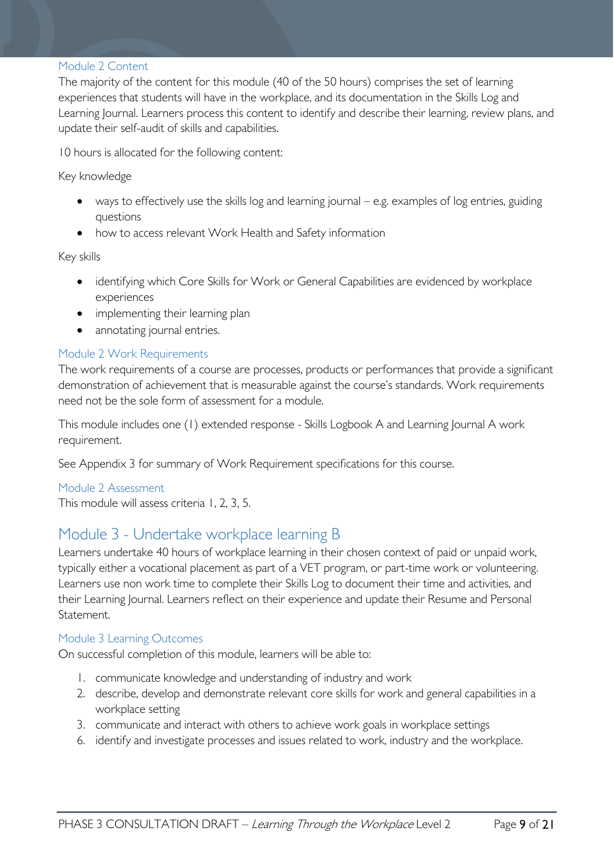#### <span id="page-8-0"></span>Module 2 Content

The majority of the content for this module (40 of the 50 hours) comprises the set of learning experiences that students will have in the workplace, and its documentation in the Skills Log and Learning Journal. Learners process this content to identify and describe their learning, review plans, and update their self-audit of skills and capabilities.

10 hours is allocated for the following content:

Key knowledge

- ways to effectively use the skills log and learning journal e.g. examples of log entries, guiding questions
- how to access relevant Work Health and Safety information

Key skills

- identifying which Core Skills for Work or General Capabilities are evidenced by workplace experiences
- implementing their learning plan
- annotating journal entries.

#### <span id="page-8-1"></span>Module 2 Work Requirements

The work requirements of a course are processes, products or performances that provide a significant demonstration of achievement that is measurable against the course's standards. Work requirements need not be the sole form of assessment for a module.

This module includes one (1) extended response - Skills Logbook A and Learning Journal A work requirement.

See Appendix 3 for summary of Work Requirement specifications for this course.

<span id="page-8-2"></span>Module 2 Assessment This module will assess criteria 1, 2, 3, 5.

### <span id="page-8-3"></span>Module 3 - Undertake workplace learning B

Learners undertake 40 hours of workplace learning in their chosen context of paid or unpaid work, typically either a vocational placement as part of a VET program, or part-time work or volunteering. Learners use non work time to complete their Skills Log to document their time and activities, and their Learning Journal. Learners reflect on their experience and update their Resume and Personal Statement.

#### <span id="page-8-4"></span>Module 3 Learning Outcomes

On successful completion of this module, learners will be able to:

- 1. communicate knowledge and understanding of industry and work
- 2. describe, develop and demonstrate relevant core skills for work and general capabilities in a workplace setting
- 3. communicate and interact with others to achieve work goals in workplace settings
- 6. identify and investigate processes and issues related to work, industry and the workplace.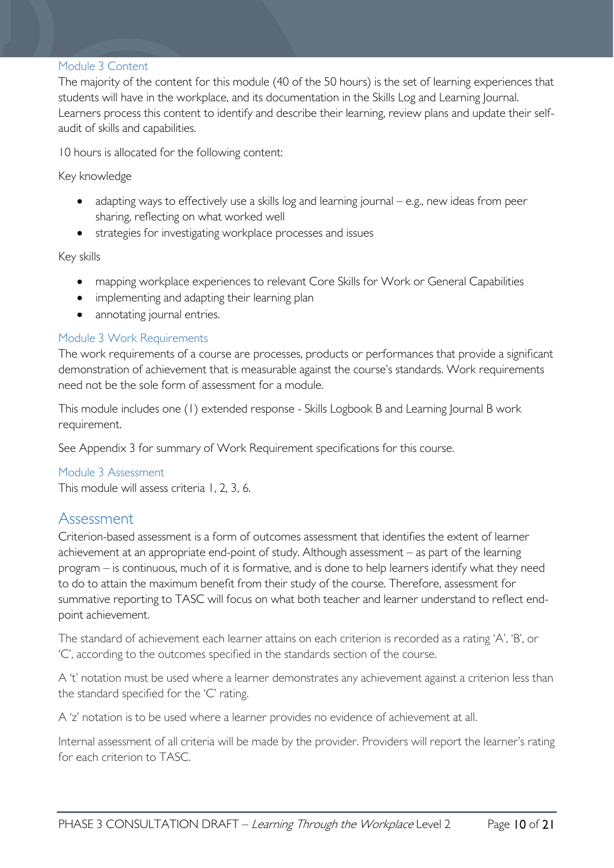#### <span id="page-9-0"></span>Module 3 Content

The majority of the content for this module (40 of the 50 hours) is the set of learning experiences that students will have in the workplace, and its documentation in the Skills Log and Learning Journal. Learners process this content to identify and describe their learning, review plans and update their selfaudit of skills and capabilities.

10 hours is allocated for the following content:

Key knowledge

- adapting ways to effectively use a skills log and learning journal e.g., new ideas from peer sharing, reflecting on what worked well
- strategies for investigating workplace processes and issues

Key skills

- mapping workplace experiences to relevant Core Skills for Work or General Capabilities
- implementing and adapting their learning plan
- annotating journal entries.

### <span id="page-9-1"></span>Module 3 Work Requirements

The work requirements of a course are processes, products or performances that provide a significant demonstration of achievement that is measurable against the course's standards. Work requirements need not be the sole form of assessment for a module.

This module includes one (1) extended response - Skills Logbook B and Learning Journal B work requirement.

See Appendix 3 for summary of Work Requirement specifications for this course.

#### <span id="page-9-2"></span>Module 3 Assessment

This module will assess criteria 1, 2, 3, 6.

### <span id="page-9-3"></span>Assessment

Criterion-based assessment is a form of outcomes assessment that identifies the extent of learner achievement at an appropriate end-point of study. Although assessment – as part of the learning program – is continuous, much of it is formative, and is done to help learners identify what they need to do to attain the maximum benefit from their study of the course. Therefore, assessment for summative reporting to TASC will focus on what both teacher and learner understand to reflect endpoint achievement.

The standard of achievement each learner attains on each criterion is recorded as a rating 'A', 'B', or 'C', according to the outcomes specified in the standards section of the course.

A 't' notation must be used where a learner demonstrates any achievement against a criterion less than the standard specified for the 'C' rating.

A 'z' notation is to be used where a learner provides no evidence of achievement at all.

Internal assessment of all criteria will be made by the provider. Providers will report the learner's rating for each criterion to TASC.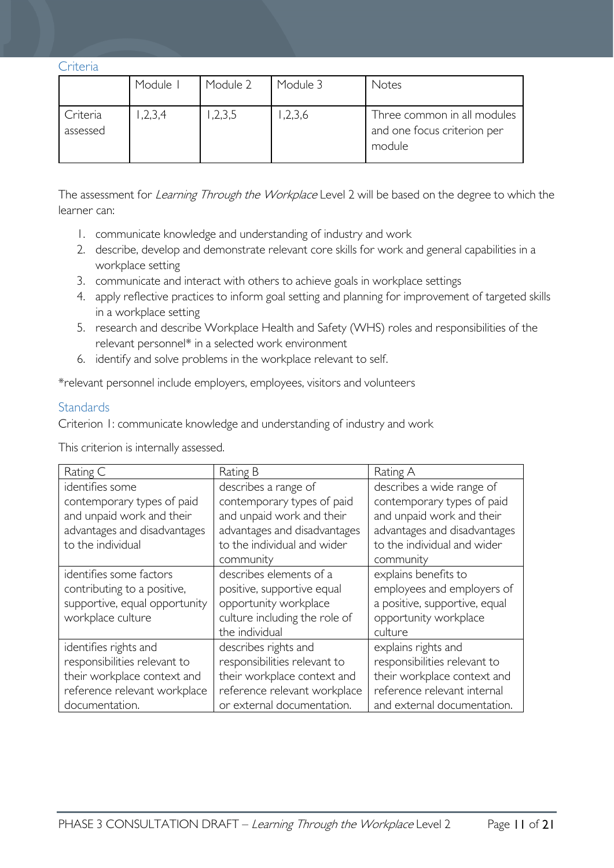<span id="page-10-0"></span>**Criteria** 

|                      | Module I | Module 2 | Module 3 | Notes                                                                |
|----------------------|----------|----------|----------|----------------------------------------------------------------------|
| Criteria<br>assessed | 1,2,3,4  | ,2,3,5   | 1,2,3,6  | Three common in all modules<br>and one focus criterion per<br>module |

The assessment for Learning Through the Workplace Level 2 will be based on the degree to which the learner can:

- 1. communicate knowledge and understanding of industry and work
- 2. describe, develop and demonstrate relevant core skills for work and general capabilities in a workplace setting
- 3. communicate and interact with others to achieve goals in workplace settings
- 4. apply reflective practices to inform goal setting and planning for improvement of targeted skills in a workplace setting
- 5. research and describe Workplace Health and Safety (WHS) roles and responsibilities of the relevant personnel\* in a selected work environment
- 6. identify and solve problems in the workplace relevant to self.

\*relevant personnel include employers, employees, visitors and volunteers

#### <span id="page-10-1"></span>**Standards**

Criterion 1: communicate knowledge and understanding of industry and work

This criterion is internally assessed.

| Rating C                                                                                                                               | Rating B                                                                                                                                          | Rating A                                                                                                                                         |
|----------------------------------------------------------------------------------------------------------------------------------------|---------------------------------------------------------------------------------------------------------------------------------------------------|--------------------------------------------------------------------------------------------------------------------------------------------------|
| identifies some                                                                                                                        | describes a range of                                                                                                                              | describes a wide range of                                                                                                                        |
| contemporary types of paid<br>and unpaid work and their<br>advantages and disadvantages<br>to the individual                           | contemporary types of paid<br>and unpaid work and their<br>advantages and disadvantages<br>to the individual and wider<br>community               | contemporary types of paid<br>and unpaid work and their<br>advantages and disadvantages<br>to the individual and wider<br>community              |
| identifies some factors<br>contributing to a positive,<br>supportive, equal opportunity<br>workplace culture                           | describes elements of a<br>positive, supportive equal<br>opportunity workplace<br>culture including the role of<br>the individual                 | explains benefits to<br>employees and employers of<br>a positive, supportive, equal<br>opportunity workplace<br>culture                          |
| identifies rights and<br>responsibilities relevant to<br>their workplace context and<br>reference relevant workplace<br>documentation. | describes rights and<br>responsibilities relevant to<br>their workplace context and<br>reference relevant workplace<br>or external documentation. | explains rights and<br>responsibilities relevant to<br>their workplace context and<br>reference relevant internal<br>and external documentation. |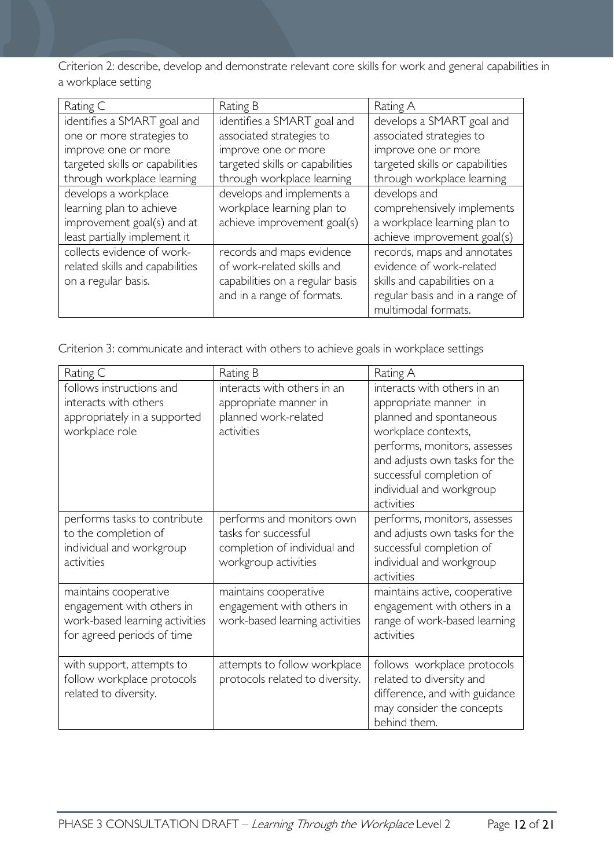Criterion 2: describe, develop and demonstrate relevant core skills for work and general capabilities in a workplace setting

| Rating C                        | Rating B                        | Rating A                        |
|---------------------------------|---------------------------------|---------------------------------|
| identifies a SMART goal and     | identifies a SMART goal and     | develops a SMART goal and       |
| one or more strategies to       | associated strategies to        | associated strategies to        |
| improve one or more             | improve one or more             | improve one or more             |
| targeted skills or capabilities | targeted skills or capabilities | targeted skills or capabilities |
| through workplace learning      | through workplace learning      | through workplace learning      |
| develops a workplace            | develops and implements a       | develops and                    |
| learning plan to achieve        | workplace learning plan to      | comprehensively implements      |
| improvement goal(s) and at      | achieve improvement goal(s)     | a workplace learning plan to    |
| least partially implement it    |                                 | achieve improvement goal(s)     |
| collects evidence of work-      | records and maps evidence       | records, maps and annotates     |
| related skills and capabilities | of work-related skills and      | evidence of work-related        |
| on a regular basis.             | capabilities on a regular basis | skills and capabilities on a    |
|                                 | and in a range of formats.      | regular basis and in a range of |
|                                 |                                 | multimodal formats.             |

Criterion 3: communicate and interact with others to achieve goals in workplace settings

| Rating C                                                                                                           | Rating B                                                                                                  | Rating A                                                                                                                                                                                                                                      |
|--------------------------------------------------------------------------------------------------------------------|-----------------------------------------------------------------------------------------------------------|-----------------------------------------------------------------------------------------------------------------------------------------------------------------------------------------------------------------------------------------------|
| follows instructions and<br>interacts with others<br>appropriately in a supported<br>workplace role                | interacts with others in an<br>appropriate manner in<br>planned work-related<br>activities                | interacts with others in an<br>appropriate manner in<br>planned and spontaneous<br>workplace contexts,<br>performs, monitors, assesses<br>and adjusts own tasks for the<br>successful completion of<br>individual and workgroup<br>activities |
| performs tasks to contribute<br>to the completion of<br>individual and workgroup<br>activities                     | performs and monitors own<br>tasks for successful<br>completion of individual and<br>workgroup activities | performs, monitors, assesses<br>and adjusts own tasks for the<br>successful completion of<br>individual and workgroup<br>activities                                                                                                           |
| maintains cooperative<br>engagement with others in<br>work-based learning activities<br>for agreed periods of time | maintains cooperative<br>engagement with others in<br>work-based learning activities                      | maintains active, cooperative<br>engagement with others in a<br>range of work-based learning<br>activities                                                                                                                                    |
| with support, attempts to<br>follow workplace protocols<br>related to diversity.                                   | attempts to follow workplace<br>protocols related to diversity.                                           | follows workplace protocols<br>related to diversity and<br>difference, and with guidance<br>may consider the concepts<br>behind them.                                                                                                         |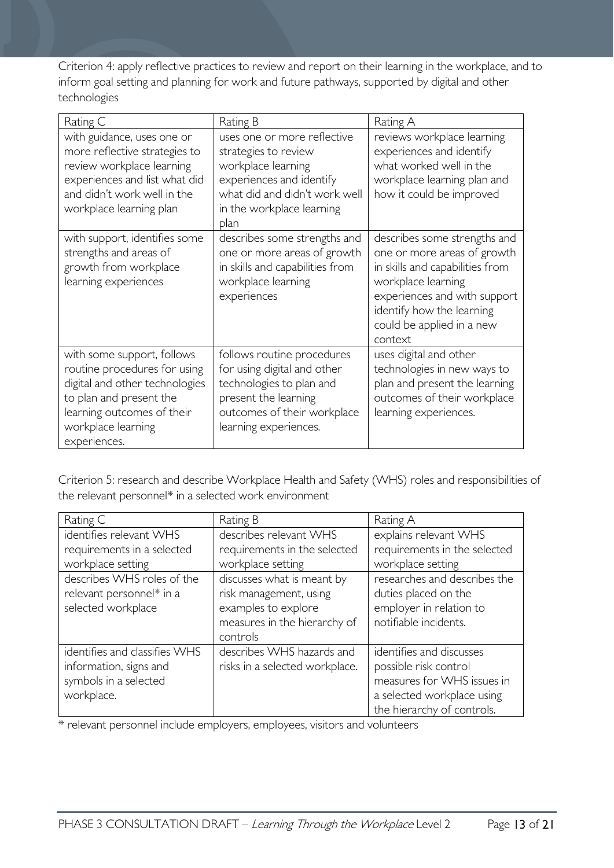Criterion 4: apply reflective practices to review and report on their learning in the workplace, and to inform goal setting and planning for work and future pathways, supported by digital and other technologies

| Rating C                                                                                                                                                                                    | Rating B                                                                                                                                                                    | Rating A                                                                                                                                                                                                                  |
|---------------------------------------------------------------------------------------------------------------------------------------------------------------------------------------------|-----------------------------------------------------------------------------------------------------------------------------------------------------------------------------|---------------------------------------------------------------------------------------------------------------------------------------------------------------------------------------------------------------------------|
| with guidance, uses one or<br>more reflective strategies to<br>review workplace learning<br>experiences and list what did<br>and didn't work well in the<br>workplace learning plan         | uses one or more reflective<br>strategies to review<br>workplace learning<br>experiences and identify<br>what did and didn't work well<br>in the workplace learning<br>plan | reviews workplace learning<br>experiences and identify<br>what worked well in the<br>workplace learning plan and<br>how it could be improved                                                                              |
| with support, identifies some<br>strengths and areas of<br>growth from workplace<br>learning experiences                                                                                    | describes some strengths and<br>one or more areas of growth<br>in skills and capabilities from<br>workplace learning<br>experiences                                         | describes some strengths and<br>one or more areas of growth<br>in skills and capabilities from<br>workplace learning<br>experiences and with support<br>identify how the learning<br>could be applied in a new<br>context |
| with some support, follows<br>routine procedures for using<br>digital and other technologies<br>to plan and present the<br>learning outcomes of their<br>workplace learning<br>experiences. | follows routine procedures<br>for using digital and other<br>technologies to plan and<br>present the learning<br>outcomes of their workplace<br>learning experiences.       | uses digital and other<br>technologies in new ways to<br>plan and present the learning<br>outcomes of their workplace<br>learning experiences.                                                                            |

Criterion 5: research and describe Workplace Health and Safety (WHS) roles and responsibilities of the relevant personnel\* in a selected work environment

| Rating C                      | Rating B                       | Rating A                     |
|-------------------------------|--------------------------------|------------------------------|
| identifies relevant WHS       | describes relevant WHS         | explains relevant WHS        |
| requirements in a selected    | requirements in the selected   | requirements in the selected |
| workplace setting             | workplace setting              | workplace setting            |
| describes WHS roles of the    | discusses what is meant by     | researches and describes the |
| relevant personnel* in a      | risk management, using         | duties placed on the         |
| selected workplace            | examples to explore            | employer in relation to      |
|                               | measures in the hierarchy of   | notifiable incidents.        |
|                               | controls                       |                              |
| identifies and classifies WHS | describes WHS hazards and      | identifies and discusses     |
| information, signs and        | risks in a selected workplace. | possible risk control        |
| symbols in a selected         |                                | measures for WHS issues in   |
| workplace.                    |                                | a selected workplace using   |
|                               |                                | the hierarchy of controls.   |

\* relevant personnel include employers, employees, visitors and volunteers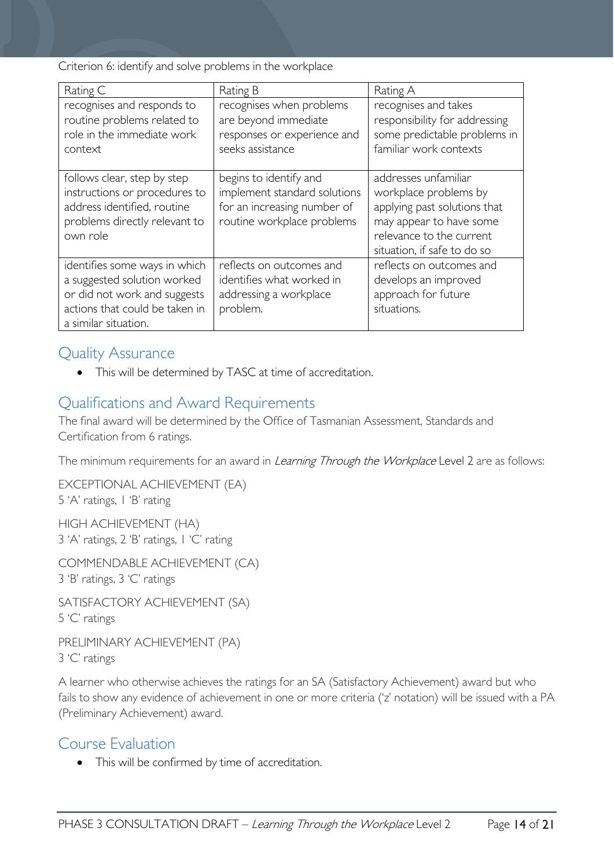Criterion 6: identify and solve problems in the workplace

| Rating C                                                                                                                                               | Rating B                                                                                                            | Rating A                                                                                                                                                            |
|--------------------------------------------------------------------------------------------------------------------------------------------------------|---------------------------------------------------------------------------------------------------------------------|---------------------------------------------------------------------------------------------------------------------------------------------------------------------|
| recognises and responds to<br>routine problems related to<br>role in the immediate work<br>context                                                     | recognises when problems<br>are beyond immediate<br>responses or experience and<br>seeks assistance                 | recognises and takes<br>responsibility for addressing<br>some predictable problems in<br>familiar work contexts                                                     |
| follows clear, step by step<br>instructions or procedures to<br>address identified, routine<br>problems directly relevant to<br>own role               | begins to identify and<br>implement standard solutions<br>for an increasing number of<br>routine workplace problems | addresses unfamiliar<br>workplace problems by<br>applying past solutions that<br>may appear to have some<br>relevance to the current<br>situation, if safe to do so |
| identifies some ways in which<br>a suggested solution worked<br>or did not work and suggests<br>actions that could be taken in<br>a similar situation. | reflects on outcomes and<br>identifies what worked in<br>addressing a workplace<br>problem.                         | reflects on outcomes and<br>develops an improved<br>approach for future<br>situations.                                                                              |

### <span id="page-13-0"></span>Quality Assurance

• This will be determined by TASC at time of accreditation.

## <span id="page-13-1"></span>Qualifications and Award Requirements

The final award will be determined by the Office of Tasmanian Assessment, Standards and Certification from 6 ratings.

The minimum requirements for an award in *Learning Through the Workplace* Level 2 are as follows:

EXCEPTIONAL ACHIEVEMENT (EA) 5 'A' ratings, 1 'B' rating

HIGH ACHIEVEMENT (HA) 3 'A' ratings, 2 'B' ratings, 1 'C' rating

COMMENDABLE ACHIEVEMENT (CA) 3 'B' ratings, 3 'C' ratings

SATISFACTORY ACHIEVEMENT (SA) 5 'C' ratings

PRELIMINARY ACHIEVEMENT (PA) 3 'C' ratings

A learner who otherwise achieves the ratings for an SA (Satisfactory Achievement) award but who fails to show any evidence of achievement in one or more criteria ('z' notation) will be issued with a PA (Preliminary Achievement) award.

## <span id="page-13-2"></span>Course Evaluation

• This will be confirmed by time of accreditation.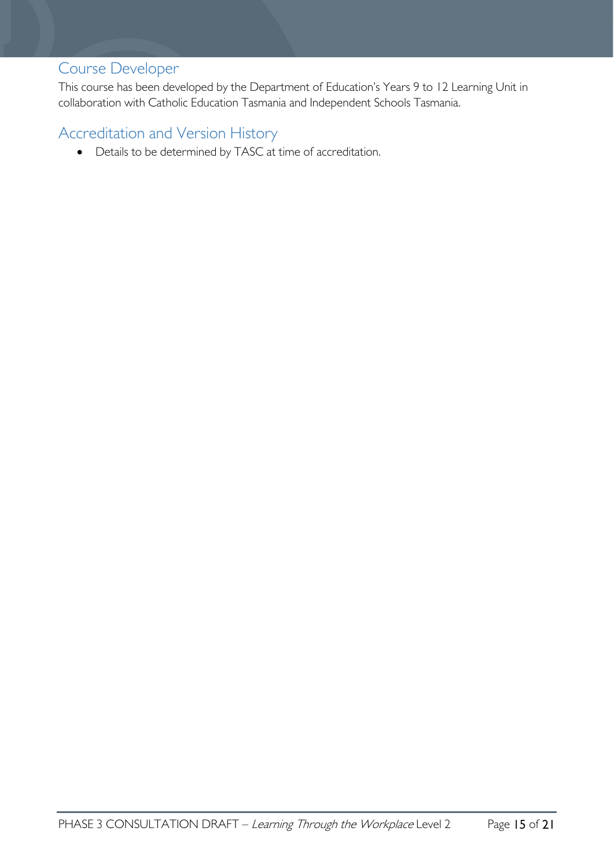# <span id="page-14-0"></span>Course Developer

This course has been developed by the Department of Education's Years 9 to 12 Learning Unit in collaboration with Catholic Education Tasmania and Independent Schools Tasmania.

# <span id="page-14-1"></span>Accreditation and Version History

• Details to be determined by TASC at time of accreditation.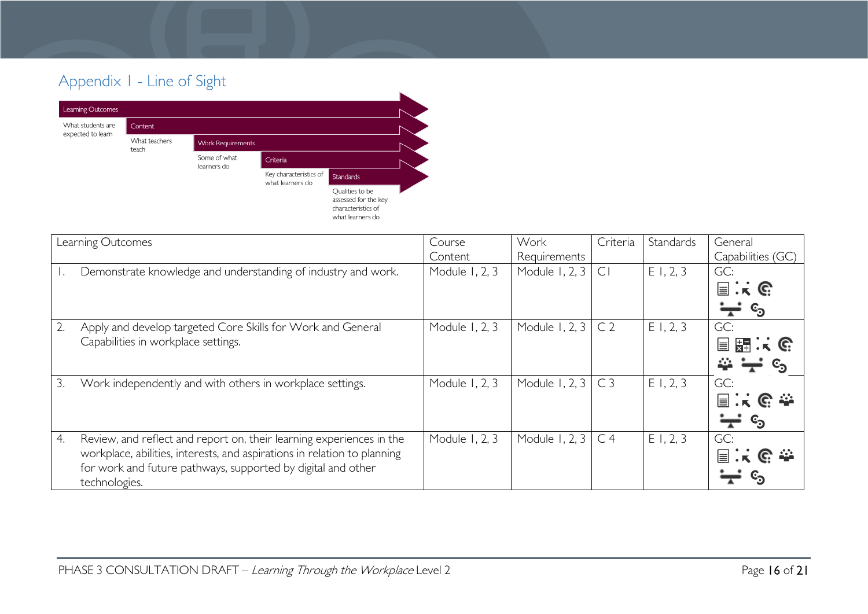# Appendix 1 - Line of Sight



<span id="page-15-0"></span>

| Learning Outcomes                                                                                                                                                                                                                       | Course                    | Work                           | Criteria       | Standards | General                                                                                    |
|-----------------------------------------------------------------------------------------------------------------------------------------------------------------------------------------------------------------------------------------|---------------------------|--------------------------------|----------------|-----------|--------------------------------------------------------------------------------------------|
| Demonstrate knowledge and understanding of industry and work.                                                                                                                                                                           | Content<br>Module 1, 2, 3 | Requirements<br>Module 1, 2, 3 | CI             | E1, 2, 3  | Capabilities (GC)<br>GC:<br>$\Box$ $\colon$ $\mathbb{C}$<br>$\mathbb{c}_\mathfrak{D}$<br>┯ |
| $\overline{2}$ .<br>Apply and develop targeted Core Skills for Work and General<br>Capabilities in workplace settings.                                                                                                                  | Module 1, 2, 3            | Module 1, 2, 3                 | C <sub>2</sub> | E1, 2, 3  | GC:<br>目題:に<br>44                                                                          |
| 3.<br>Work independently and with others in workplace settings.                                                                                                                                                                         | Module 1, 2, 3            | Module 1, 2, 3                 | C <sub>3</sub> | E1, 2, 3  | GC:<br>$\equiv$ . K $\subseteq$ $\cong$<br>$\mathbf{c_3}$                                  |
| Review, and reflect and report on, their learning experiences in the<br>4.<br>workplace, abilities, interests, and aspirations in relation to planning<br>for work and future pathways, supported by digital and other<br>technologies. | Module 1, 2, 3            | Module 1, 2, 3                 | C <sub>4</sub> | E1, 2, 3  | GC:<br>$C \cong$<br>$\equiv \cdot$                                                         |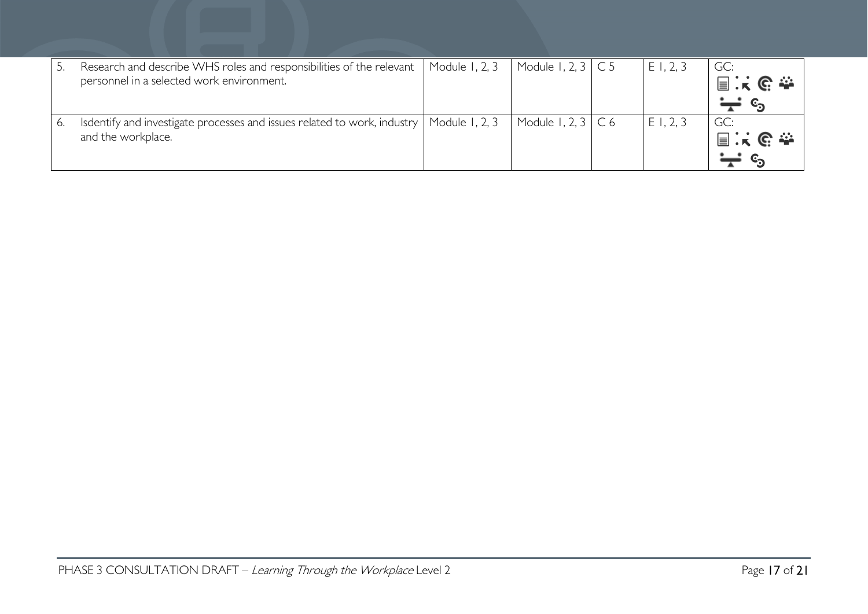| Research and describe WHS roles and responsibilities of the relevant  <br>personnel in a selected work environment. | Module 1, 2, 3 | Module 1, 2, 3 $\mid$ C 5 | $E$ 1, 2, 3 | GC:<br>国民职委 |
|---------------------------------------------------------------------------------------------------------------------|----------------|---------------------------|-------------|-------------|
| Isdentify and investigate processes and issues related to work, industry   Module 1, 2, 3<br>and the workplace.     |                | Module 1, 2, $3 \mid C$ 6 | E1, 2, 3    | GC:<br>国民职会 |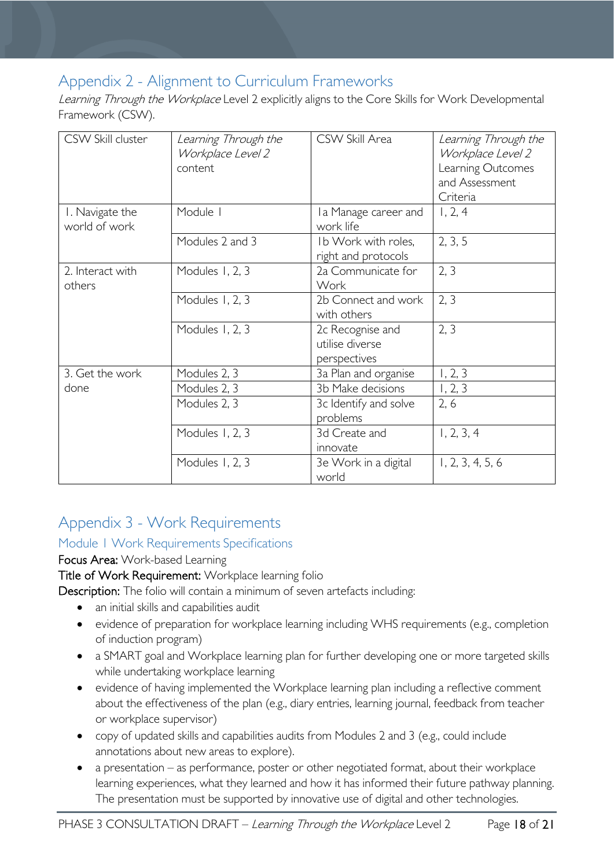# <span id="page-17-0"></span>Appendix 2 - Alignment to Curriculum Frameworks

Learning Through the Workplace Level 2 explicitly aligns to the Core Skills for Work Developmental Framework (CSW).

| CSW Skill cluster                | Learning Through the<br>Workplace Level 2<br>content | CSW Skill Area                                      | Learning Through the<br>Workplace Level 2<br>Learning Outcomes<br>and Assessment<br>Criteria |
|----------------------------------|------------------------------------------------------|-----------------------------------------------------|----------------------------------------------------------------------------------------------|
| I. Navigate the<br>world of work | Module I                                             | I a Manage career and<br>work life                  | 1, 2, 4                                                                                      |
|                                  | Modules 2 and 3                                      | Ib Work with roles,<br>right and protocols          | 2, 3, 5                                                                                      |
| 2. Interact with<br>others       | Modules 1, 2, 3                                      | 2a Communicate for<br>Work                          | 2, 3                                                                                         |
|                                  | Modules 1, 2, 3                                      | 2b Connect and work<br>with others                  | 2, 3                                                                                         |
|                                  | Modules 1, 2, 3                                      | 2c Recognise and<br>utilise diverse<br>perspectives | 2, 3                                                                                         |
| 3. Get the work                  | Modules 2, 3                                         | 3a Plan and organise                                | 1, 2, 3                                                                                      |
| done                             | Modules 2, 3                                         | 3b Make decisions                                   | 1, 2, 3                                                                                      |
|                                  | Modules 2, 3                                         | 3c Identify and solve<br>problems                   | 2, 6                                                                                         |
|                                  | Modules 1, 2, 3                                      | 3d Create and<br>innovate                           | 1, 2, 3, 4                                                                                   |
|                                  | Modules 1, 2, 3                                      | 3e Work in a digital<br>world                       | 1, 2, 3, 4, 5, 6                                                                             |

# <span id="page-17-1"></span>Appendix 3 - Work Requirements

### <span id="page-17-2"></span>Module 1 Work Requirements Specifications

### Focus Area: Work-based Learning

### Title of Work Requirement: Workplace learning folio

Description: The folio will contain a minimum of seven artefacts including:

- an initial skills and capabilities audit
- evidence of preparation for workplace learning including WHS requirements (e.g., completion of induction program)
- a SMART goal and Workplace learning plan for further developing one or more targeted skills while undertaking workplace learning
- evidence of having implemented the Workplace learning plan including a reflective comment about the effectiveness of the plan (e.g., diary entries, learning journal, feedback from teacher or workplace supervisor)
- copy of updated skills and capabilities audits from Modules 2 and 3 (e.g., could include annotations about new areas to explore).
- a presentation as performance, poster or other negotiated format, about their workplace learning experiences, what they learned and how it has informed their future pathway planning. The presentation must be supported by innovative use of digital and other technologies.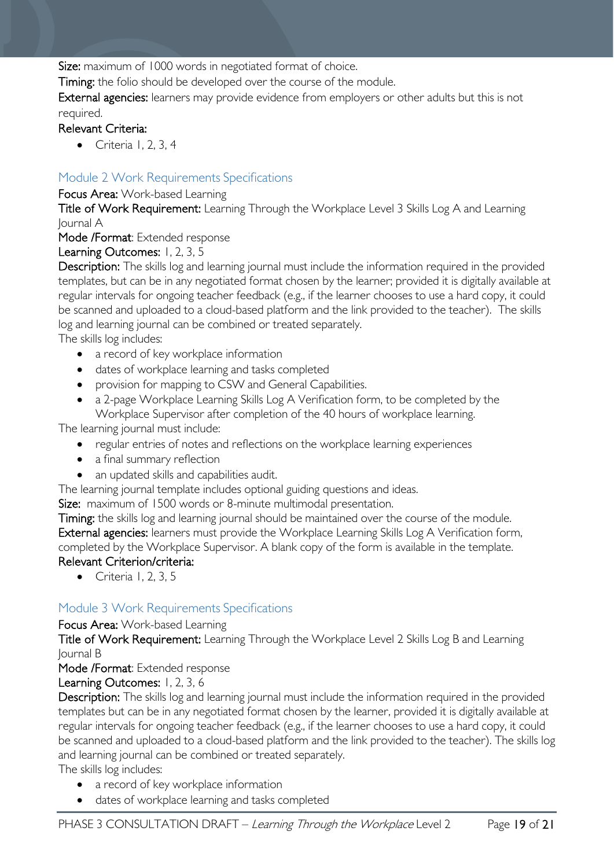Size: maximum of 1000 words in negotiated format of choice.

Timing: the folio should be developed over the course of the module.

External agencies: learners may provide evidence from employers or other adults but this is not required.

### Relevant Criteria:

• Criteria 1, 2, 3, 4

### <span id="page-18-0"></span>Module 2 Work Requirements Specifications

### Focus Area: Work-based Learning

Title of Work Requirement: Learning Through the Workplace Level 3 Skills Log A and Learning Journal A

### Mode /Format: Extended response

### Learning Outcomes: 1, 2, 3, 5

Description: The skills log and learning journal must include the information required in the provided templates, but can be in any negotiated format chosen by the learner; provided it is digitally available at regular intervals for ongoing teacher feedback (e.g., if the learner chooses to use a hard copy, it could be scanned and uploaded to a cloud-based platform and the link provided to the teacher). The skills log and learning journal can be combined or treated separately.

The skills log includes:

- a record of key workplace information
- dates of workplace learning and tasks completed
- provision for mapping to CSW and General Capabilities.
- a 2-page Workplace Learning Skills Log A Verification form, to be completed by the Workplace Supervisor after completion of the 40 hours of workplace learning.

The learning journal must include:

- regular entries of notes and reflections on the workplace learning experiences
- a final summary reflection
- an updated skills and capabilities audit.

The learning journal template includes optional guiding questions and ideas.

Size: maximum of 1500 words or 8-minute multimodal presentation.

Timing: the skills log and learning journal should be maintained over the course of the module. External agencies: learners must provide the Workplace Learning Skills Log A Verification form, completed by the Workplace Supervisor. A blank copy of the form is available in the template. Relevant Criterion/criteria:

• Criteria 1, 2, 3, 5

### <span id="page-18-1"></span>Module 3 Work Requirements Specifications

Focus Area: Work-based Learning

Title of Work Requirement: Learning Through the Workplace Level 2 Skills Log B and Learning Journal B

Mode /Format: Extended response

Learning Outcomes: 1, 2, 3, 6

Description: The skills log and learning journal must include the information required in the provided templates but can be in any negotiated format chosen by the learner, provided it is digitally available at regular intervals for ongoing teacher feedback (e.g., if the learner chooses to use a hard copy, it could be scanned and uploaded to a cloud-based platform and the link provided to the teacher). The skills log and learning journal can be combined or treated separately.

The skills log includes:

- a record of key workplace information
- dates of workplace learning and tasks completed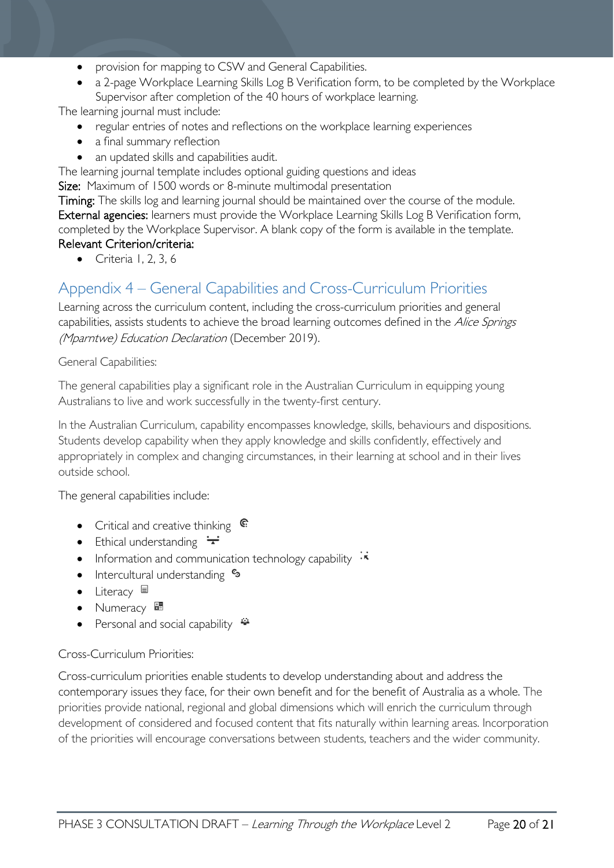- provision for mapping to CSW and General Capabilities.
- a 2-page Workplace Learning Skills Log B Verification form, to be completed by the Workplace Supervisor after completion of the 40 hours of workplace learning.

The learning journal must include:

- regular entries of notes and reflections on the workplace learning experiences
- a final summary reflection
- an updated skills and capabilities audit.

The learning journal template includes optional guiding questions and ideas

Size: Maximum of 1500 words or 8-minute multimodal presentation

Timing: The skills log and learning journal should be maintained over the course of the module. External agencies: learners must provide the Workplace Learning Skills Log B Verification form, completed by the Workplace Supervisor. A blank copy of the form is available in the template. Relevant Criterion/criteria:

• Criteria 1, 2, 3, 6

# <span id="page-19-0"></span>Appendix 4 – General Capabilities and Cross-Curriculum Priorities

Learning across the curriculum content, including the cross-curriculum priorities and general capabilities, assists students to achieve the broad learning outcomes defined in the Alice Springs (Mparntwe) Education Declaration (December 2019).

General Capabilities:

The general capabilities play a significant role in the Australian Curriculum in equipping young Australians to live and work successfully in the twenty-first century.

In the Australian Curriculum, capability encompasses knowledge, skills, behaviours and dispositions. Students develop capability when they apply knowledge and skills confidently, effectively and appropriately in complex and changing circumstances, in their learning at school and in their lives outside school.

The general capabilities include:

- Critical and creative thinking  $\epsilon$
- Ethical understanding  $\div$
- Information and communication technology capability  $\cdot\overline{\cdot}$
- Intercultural understanding  $\frac{c_3}{ }$
- Literacy  $\blacksquare$
- Numeracy
- Personal and social capability  $\ddot{\ddot{}}$

### Cross-Curriculum Priorities:

Cross-curriculum priorities enable students to develop understanding about and address the contemporary issues they face, for their own benefit and for the benefit of Australia as a whole. The priorities provide national, regional and global dimensions which will enrich the curriculum through development of considered and focused content that fits naturally within learning areas. Incorporation of the priorities will encourage conversations between students, teachers and the wider community.